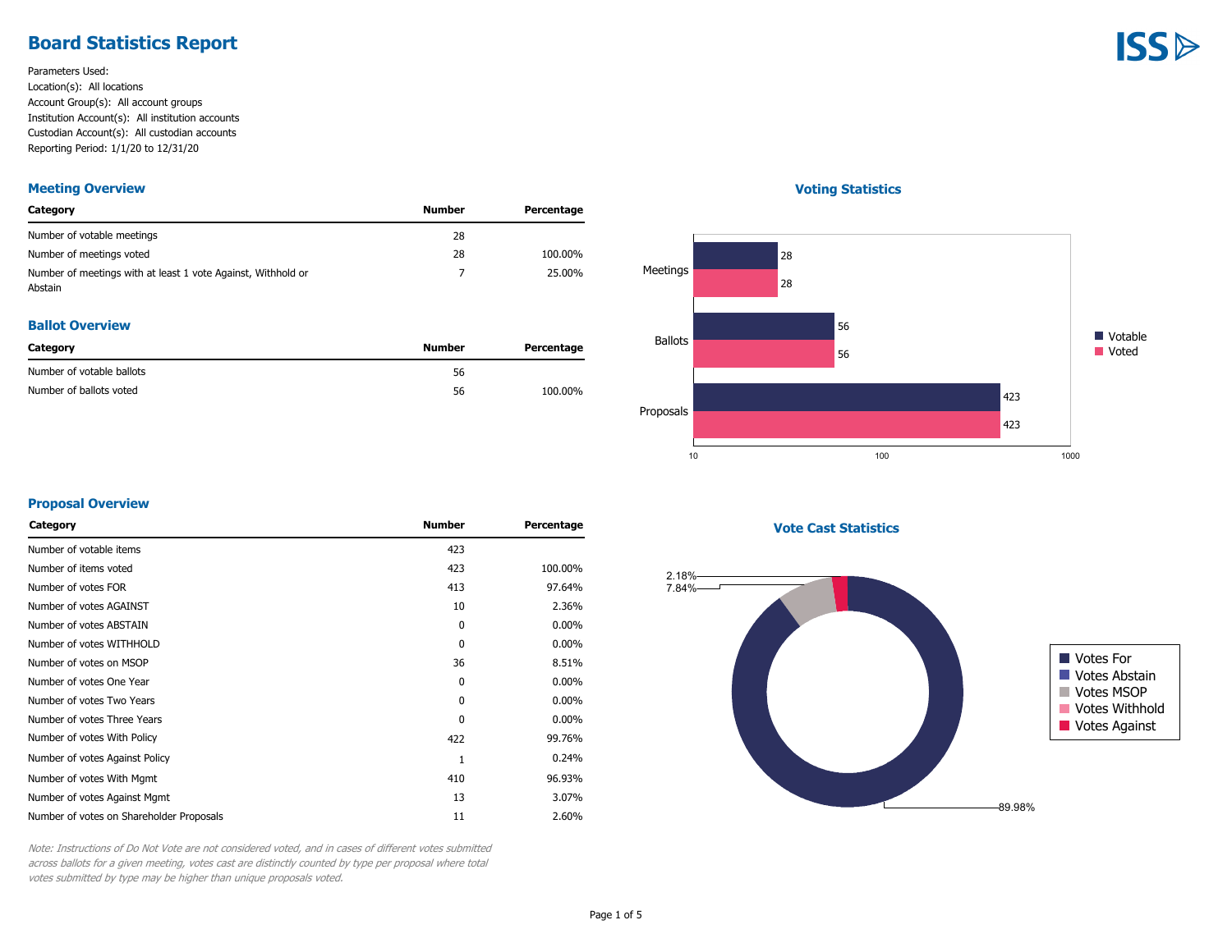## **Board Statistics Report**

Parameters Used: Location(s): All locations Account Group(s): All account groups Institution Account(s): All institution accounts Custodian Account(s): All custodian accounts Reporting Period: 1/1/20 to 12/31/20

#### **Meeting Overview**

| Category                                                                | Number | Percentage |
|-------------------------------------------------------------------------|--------|------------|
| Number of votable meetings                                              | 28     |            |
| Number of meetings voted                                                | 28     | 100.00%    |
| Number of meetings with at least 1 vote Against, Withhold or<br>Abstain |        | 25.00%     |

#### **Ballot Overview**

| Category                  | Number | Percentage |
|---------------------------|--------|------------|
| Number of votable ballots | 56     |            |
| Number of ballots voted   | 56     | 100.00%    |

#### **Voting Statistics**



#### **Proposal Overview**

| Category                                 | <b>Number</b> | Percentage |
|------------------------------------------|---------------|------------|
| Number of votable items                  | 423           |            |
| Number of items voted                    | 423           | 100.00%    |
| Number of votes FOR                      | 413           | 97.64%     |
| Number of votes AGAINST                  | 10            | 2.36%      |
| Number of votes ABSTAIN                  | 0             | $0.00\%$   |
| Number of votes WITHHOLD                 | $\theta$      | $0.00\%$   |
| Number of votes on MSOP                  | 36            | 8.51%      |
| Number of votes One Year                 | 0             | $0.00\%$   |
| Number of votes Two Years                | 0             | $0.00\%$   |
| Number of votes Three Years              | $\mathbf{0}$  | $0.00\%$   |
| Number of votes With Policy              | 422           | 99.76%     |
| Number of votes Against Policy           | 1             | 0.24%      |
| Number of votes With Mgmt                | 410           | 96.93%     |
| Number of votes Against Mgmt             | 13            | 3.07%      |
| Number of votes on Shareholder Proposals | 11            | 2.60%      |
|                                          |               |            |

**Vote Cast Statistics**



Note: Instructions of Do Not Vote are not considered voted, and in cases of different votes submitted across ballots for a given meeting, votes cast are distinctly counted by type per proposal where total votes submitted by type may be higher than unique proposals voted.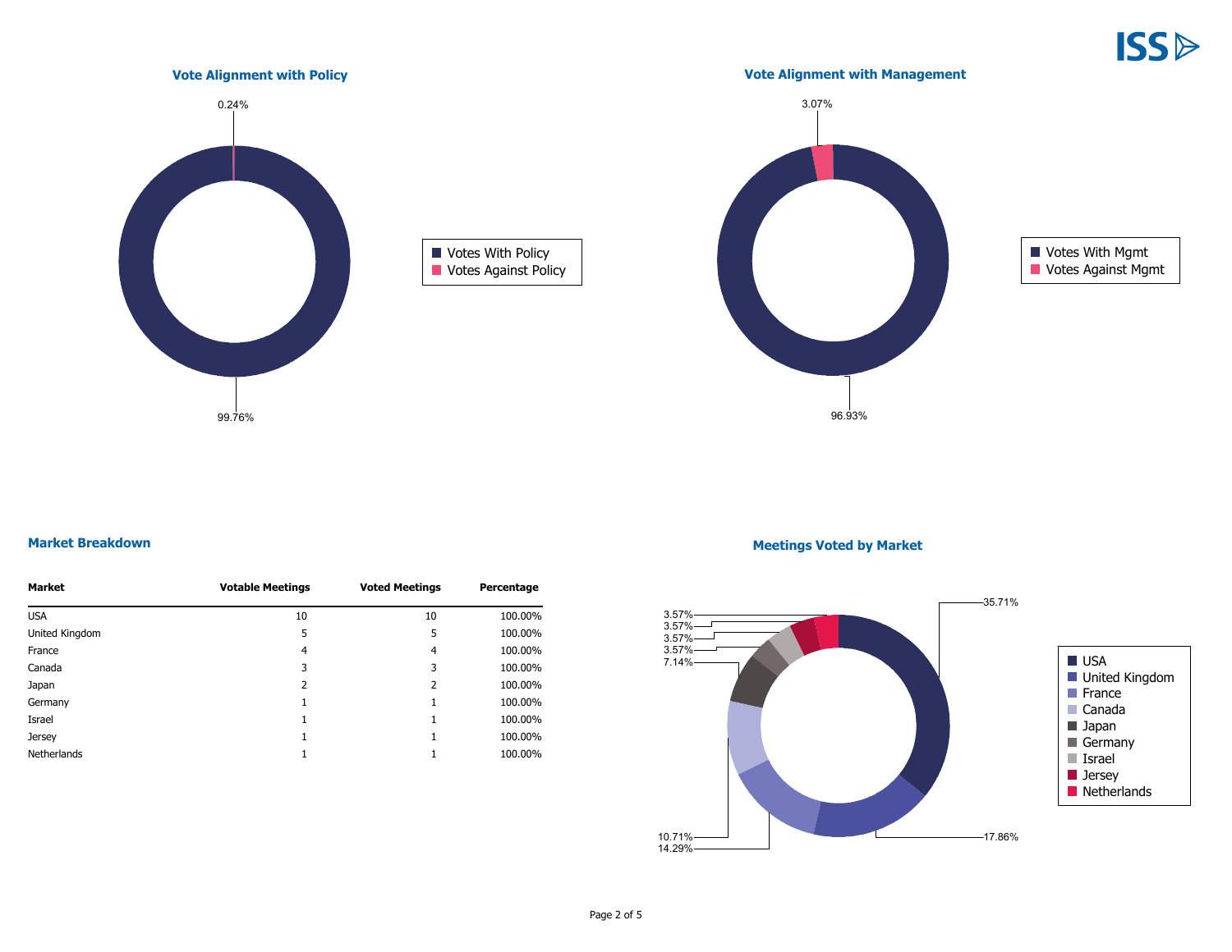**ISS** 



#### **Market Breakdown**

| Market         | <b>Votable Meetings</b> | <b>Voted Meetings</b> | Percentage |
|----------------|-------------------------|-----------------------|------------|
| <b>USA</b>     | 10                      | 10                    | 100.00%    |
| United Kingdom | 5                       | 5                     | 100.00%    |
| France         | 4                       | 4                     | 100.00%    |
| Canada         | 3                       | 3                     | 100.00%    |
| Japan          | 2                       | 2                     | 100.00%    |
| Germany        | 1                       |                       | 100.00%    |
| Israel         | 1                       |                       | 100.00%    |
| <b>Jersey</b>  | 1                       |                       | 100.00%    |
| Netherlands    |                         |                       | 100.00%    |

#### **Meetings Voted by Market**

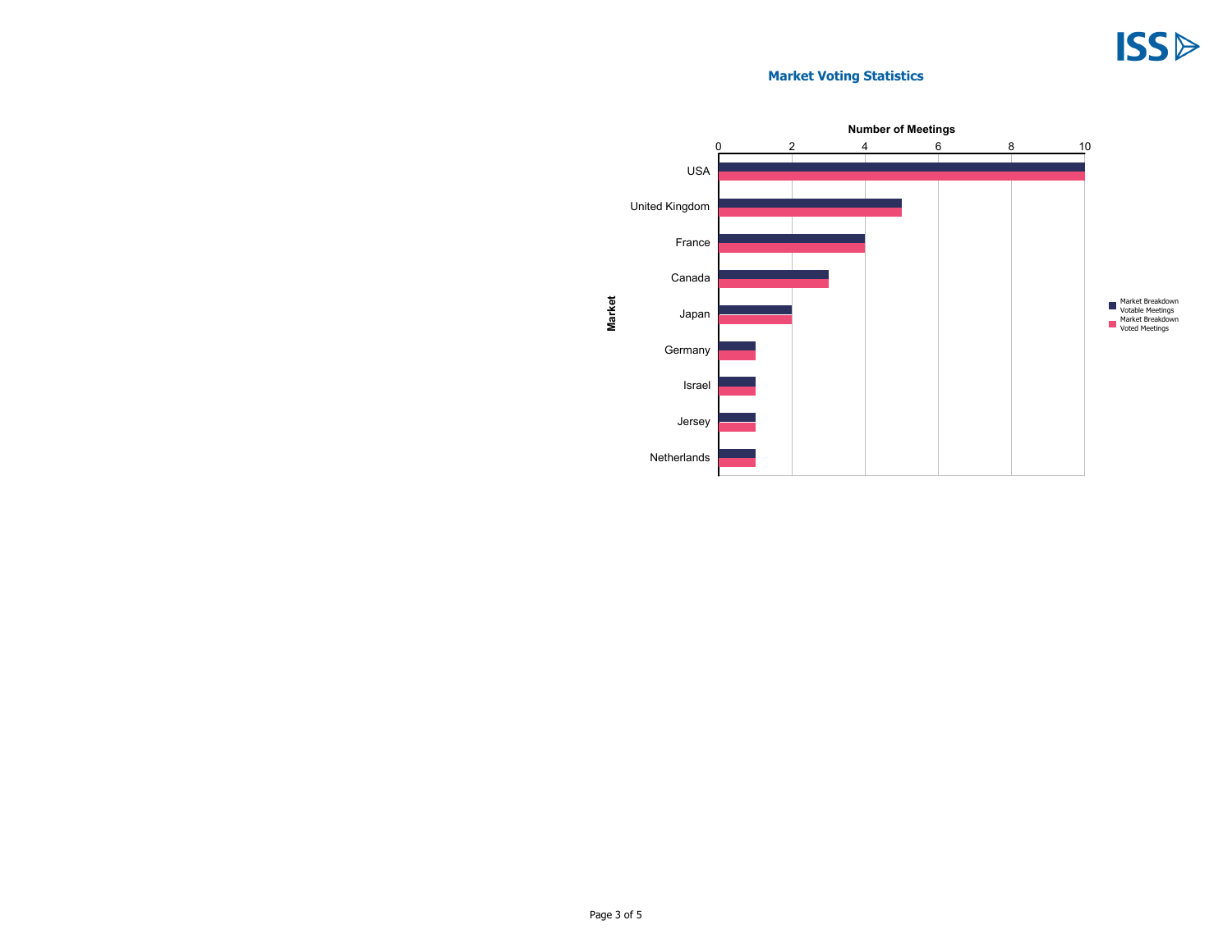## **Market Voting Statistics**

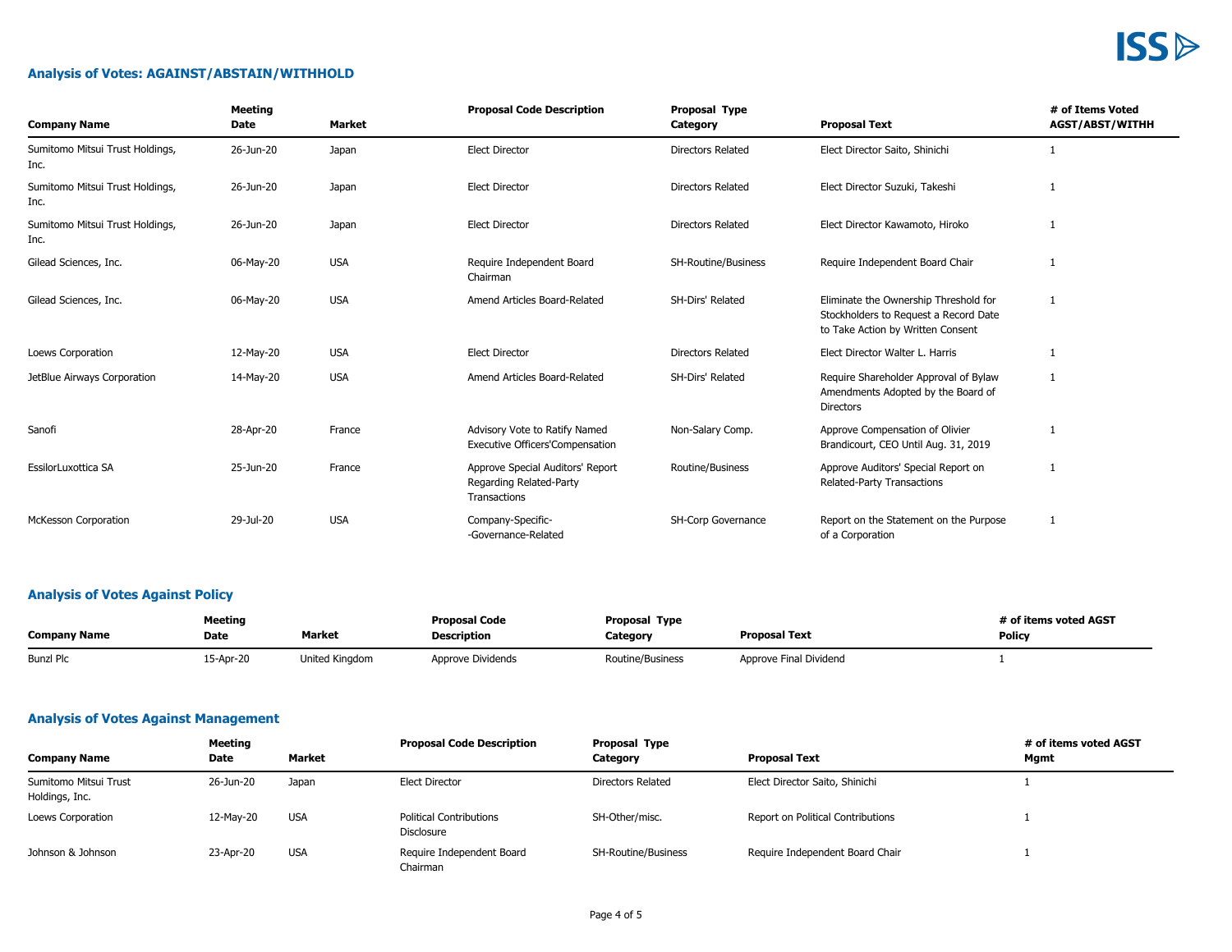# **ISS**

## **Analysis of Votes: AGAINST/ABSTAIN/WITHHOLD**

| <b>Company Name</b>                     | <b>Meeting</b><br>Date | <b>Market</b> | <b>Proposal Code Description</b>                                            | <b>Proposal Type</b><br>Category | <b>Proposal Text</b>                                                                                                | # of Items Voted<br><b>AGST/ABST/WITHH</b> |
|-----------------------------------------|------------------------|---------------|-----------------------------------------------------------------------------|----------------------------------|---------------------------------------------------------------------------------------------------------------------|--------------------------------------------|
| Sumitomo Mitsui Trust Holdings,<br>Inc. | 26-Jun-20              | Japan         | <b>Elect Director</b>                                                       | <b>Directors Related</b>         | Elect Director Saito, Shinichi                                                                                      |                                            |
| Sumitomo Mitsui Trust Holdings,<br>Inc. | 26-Jun-20              | Japan         | <b>Elect Director</b>                                                       | <b>Directors Related</b>         | Elect Director Suzuki, Takeshi                                                                                      |                                            |
| Sumitomo Mitsui Trust Holdings,<br>Inc. | 26-Jun-20              | Japan         | <b>Elect Director</b>                                                       | <b>Directors Related</b>         | Elect Director Kawamoto, Hiroko                                                                                     |                                            |
| Gilead Sciences, Inc.                   | 06-May-20              | <b>USA</b>    | Require Independent Board<br>Chairman                                       | SH-Routine/Business              | Require Independent Board Chair                                                                                     |                                            |
| Gilead Sciences, Inc.                   | 06-May-20              | <b>USA</b>    | Amend Articles Board-Related                                                | SH-Dirs' Related                 | Eliminate the Ownership Threshold for<br>Stockholders to Request a Record Date<br>to Take Action by Written Consent |                                            |
| Loews Corporation                       | 12-May-20              | <b>USA</b>    | <b>Elect Director</b>                                                       | <b>Directors Related</b>         | Elect Director Walter L. Harris                                                                                     |                                            |
| JetBlue Airways Corporation             | 14-May-20              | <b>USA</b>    | Amend Articles Board-Related                                                | SH-Dirs' Related                 | Require Shareholder Approval of Bylaw<br>Amendments Adopted by the Board of<br><b>Directors</b>                     | -1                                         |
| Sanofi                                  | 28-Apr-20              | France        | Advisory Vote to Ratify Named<br><b>Executive Officers'Compensation</b>     | Non-Salary Comp.                 | Approve Compensation of Olivier<br>Brandicourt, CEO Until Aug. 31, 2019                                             |                                            |
| EssilorLuxottica SA                     | 25-Jun-20              | France        | Approve Special Auditors' Report<br>Regarding Related-Party<br>Transactions | Routine/Business                 | Approve Auditors' Special Report on<br><b>Related-Party Transactions</b>                                            | 1                                          |
| <b>McKesson Corporation</b>             | 29-Jul-20              | <b>USA</b>    | Company-Specific-<br>-Governance-Related                                    | SH-Corp Governance               | Report on the Statement on the Purpose<br>of a Corporation                                                          |                                            |

## **Analysis of Votes Against Policy**

| <b>Meeting</b>      |           | <b>Proposal Code</b> | <b>Proposal Type</b> |                  | # of items voted AGST  |               |
|---------------------|-----------|----------------------|----------------------|------------------|------------------------|---------------|
| <b>Company Name</b> | Date      | Market               | <b>Description</b>   | Category         | <b>Proposal Text</b>   | <b>Policy</b> |
| <b>Bunzl Plc</b>    | 15-Apr-20 | United Kingdom       | Approve Dividends    | Routine/Business | Approve Final Dividend |               |

## **Analysis of Votes Against Management**

| Meeting                                 |           |            | <b>Proposal Code Description</b>             | Proposal Type              | # of items voted AGST             |      |
|-----------------------------------------|-----------|------------|----------------------------------------------|----------------------------|-----------------------------------|------|
| <b>Company Name</b>                     | Date      | Market     |                                              | Category                   | <b>Proposal Text</b>              | Mgmt |
| Sumitomo Mitsui Trust<br>Holdings, Inc. | 26-Jun-20 | Japan      | Elect Director                               | Directors Related          | Elect Director Saito, Shinichi    |      |
| Loews Corporation                       | 12-May-20 | <b>USA</b> | <b>Political Contributions</b><br>Disclosure | SH-Other/misc.             | Report on Political Contributions |      |
| Johnson & Johnson                       | 23-Apr-20 | <b>USA</b> | Require Independent Board<br>Chairman        | <b>SH-Routine/Business</b> | Require Independent Board Chair   |      |